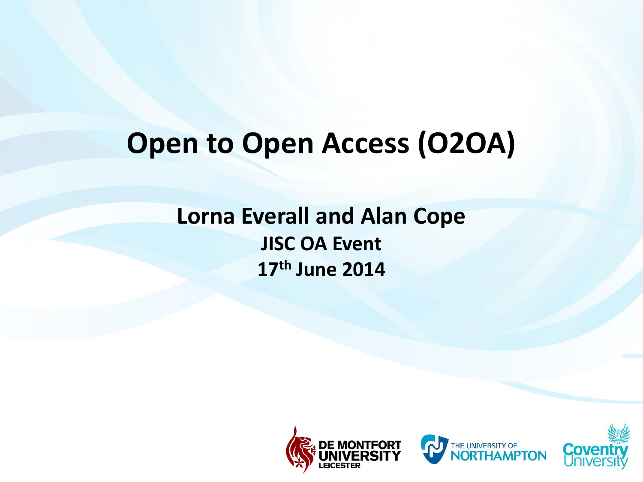#### **Open to Open Access (O2OA)**

#### **Lorna Everall and Alan Cope JISC OA Event 17th June 2014**





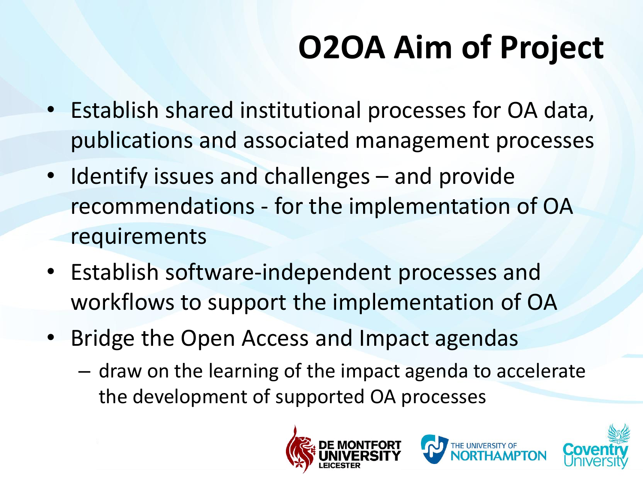# **O2OA Aim of Project**

- Establish shared institutional processes for OA data, publications and associated management processes
- Identify issues and challenges and provide recommendations - for the implementation of OA requirements
- Establish software-independent processes and workflows to support the implementation of OA
- Bridge the Open Access and Impact agendas
	- draw on the learning of the impact agenda to accelerate the development of supported OA processes





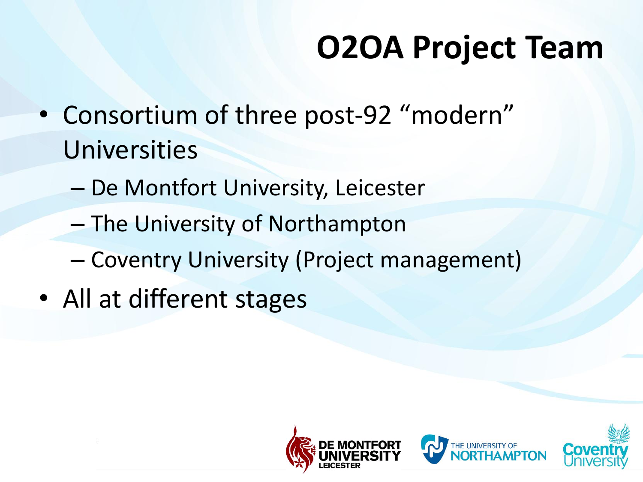- Consortium of three post-92 "modern" Universities
	- De Montfort University, Leicester
	- The University of Northampton
	- Coventry University (Project management)
- All at different stages





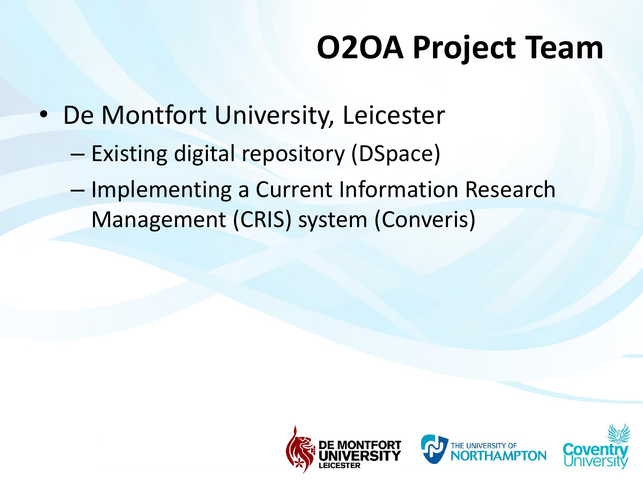- De Montfort University, Leicester
	- Existing digital repository (DSpace)
	- Implementing a Current Information Research Management (CRIS) system (Converis)





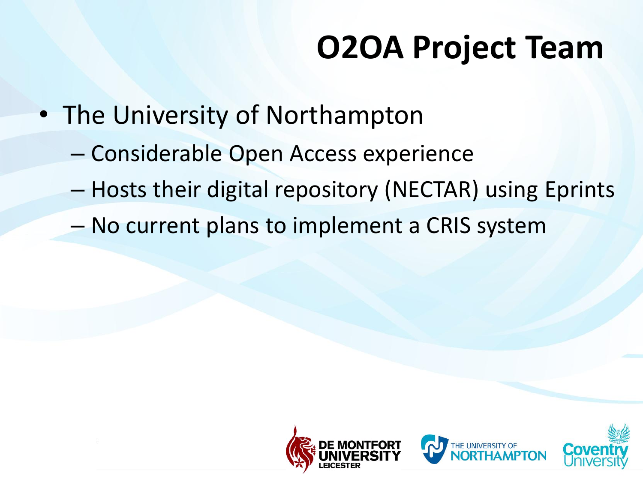- The University of Northampton
	- Considerable Open Access experience
	- Hosts their digital repository (NECTAR) using Eprints
	- No current plans to implement a CRIS system





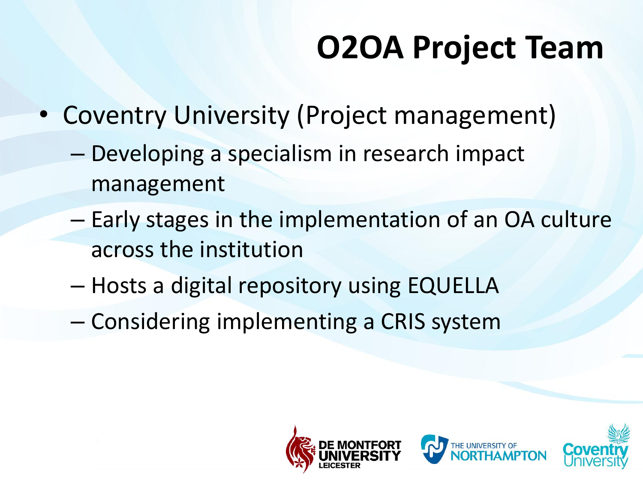- Coventry University (Project management)
	- Developing a specialism in research impact management
	- Early stages in the implementation of an OA culture across the institution
	- Hosts a digital repository using EQUELLA
	- Considering implementing a CRIS system





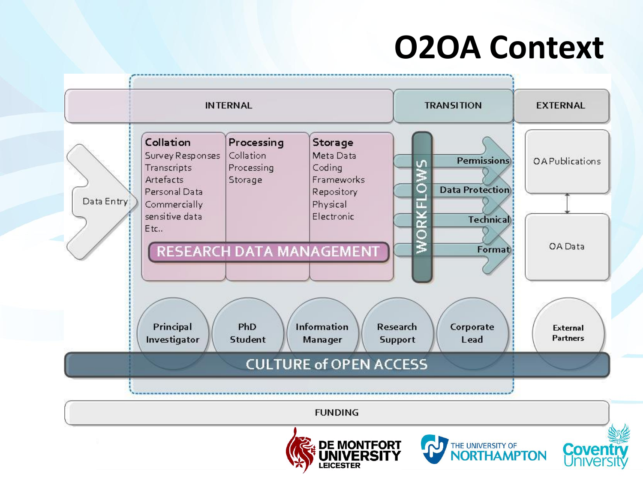#### **O2OA Context**





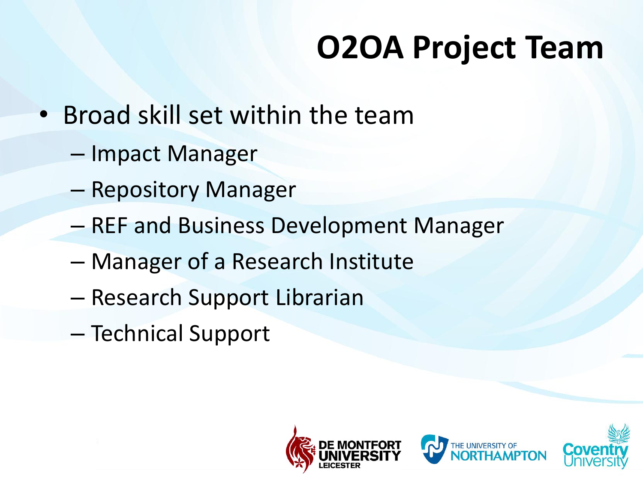- Broad skill set within the team
	- Impact Manager
	- Repository Manager
	- REF and Business Development Manager
	- Manager of a Research Institute
	- Research Support Librarian
	- Technical Support





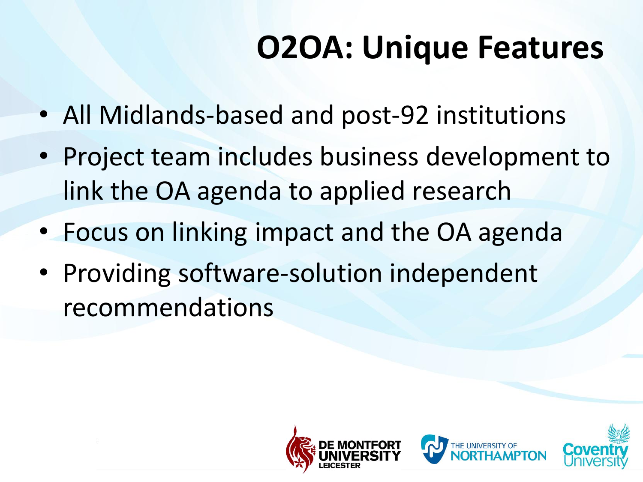### **O2OA: Unique Features**

- All Midlands-based and post-92 institutions
- Project team includes business development to link the OA agenda to applied research
- Focus on linking impact and the OA agenda
- Providing software-solution independent recommendations





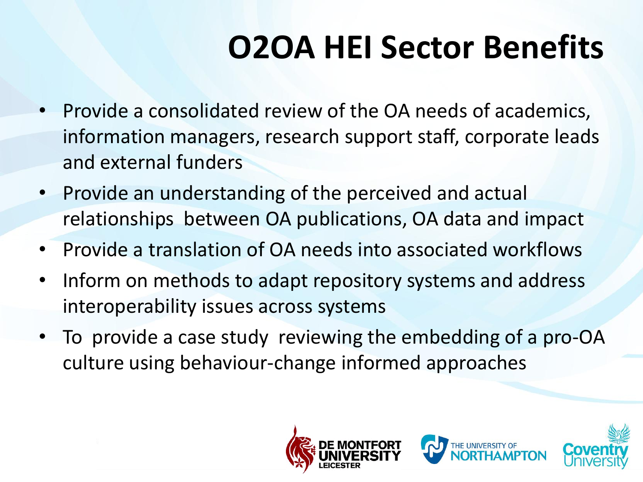#### **O2OA HEI Sector Benefits**

- Provide a consolidated review of the OA needs of academics, information managers, research support staff, corporate leads and external funders
- Provide an understanding of the perceived and actual relationships between OA publications, OA data and impact
- Provide a translation of OA needs into associated workflows
- Inform on methods to adapt repository systems and address interoperability issues across systems
- To provide a case study reviewing the embedding of a pro-OA culture using behaviour-change informed approaches